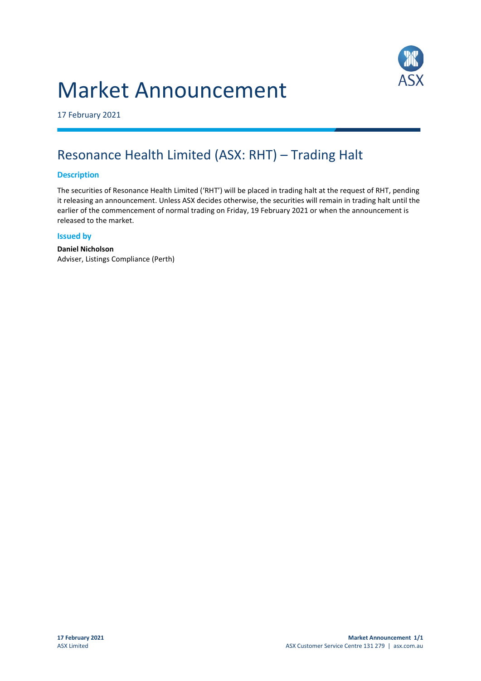# Market Announcement



17 February 2021

## Resonance Health Limited (ASX: RHT) – Trading Halt

### **Description**

The securities of Resonance Health Limited ('RHT') will be placed in trading halt at the request of RHT, pending it releasing an announcement. Unless ASX decides otherwise, the securities will remain in trading halt until the earlier of the commencement of normal trading on Friday, 19 February 2021 or when the announcement is released to the market.

#### **Issued by**

**Daniel Nicholson** Adviser, Listings Compliance (Perth)